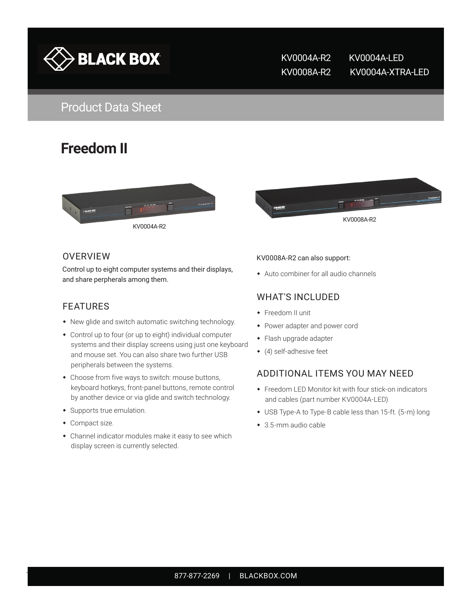

KV0004A-R2 KV0004A-LED KV0008A-R2 KV0004A-XTRA-LED

# **Freedom II**





#### **OVERVIEW**

Control up to eight computer systems and their displays, and share perpherals among them.

#### FEATURES

- New glide and switch automatic switching technology.
- Control up to four (or up to eight) individual computer systems and their display screens using just one keyboard and mouse set. You can also share two further USB peripherals between the systems.
- Choose from five ways to switch: mouse buttons, keyboard hotkeys, front-panel buttons, remote control by another device or via glide and switch technology.
- Supports true emulation.
- Compact size.
- Channel indicator modules make it easy to see which display screen is currently selected.

#### KV0008A-R2 can also support:

Auto combiner for all audio channels

#### WHAT'S INCLUDED

- Freedom II unit
- Power adapter and power cord
- Flash upgrade adapter
- (4) self-adhesive feet

#### ADDITIONAL ITEMS YOU MAY NEED

- Freedom LED Monitor kit with four stick-on indicators and cables (part number KV0004A-LED)
- USB Type-A to Type-B cable less than 15-ft. (5-m) long
- ◆ 3.5-mm audio cable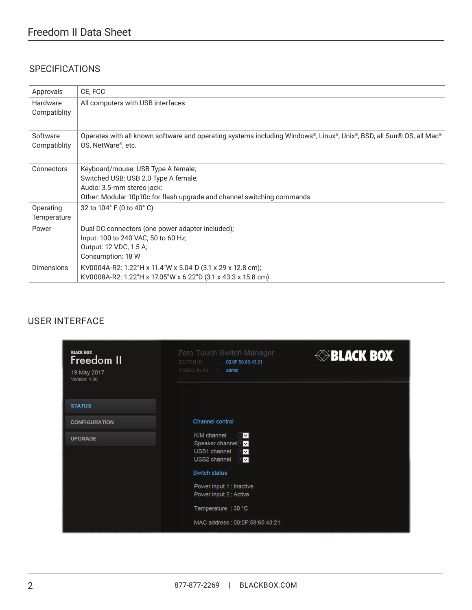# Freedom II Data Sheet

## **SPECIFICATIONS**

| Approvals                | CE, FCC                                                                                                                                                                            |
|--------------------------|------------------------------------------------------------------------------------------------------------------------------------------------------------------------------------|
| Hardware<br>Compatiblity | All computers with USB interfaces                                                                                                                                                  |
| Software<br>Compatiblity | Operates with all known software and operating systems including Windows®, Linux®, Unix®, BSD, all Sun® OS, all Mac®<br>OS, NetWare®, etc.                                         |
| Connectors               | Keyboard/mouse: USB Type A female;<br>Switched USB: USB 2.0 Type A female;<br>Audio: 3.5-mm stereo jack:<br>Other: Modular 10p10c for flash upgrade and channel switching commands |
| Operating<br>Temperature | 32 to 104° F (0 to 40° C)                                                                                                                                                          |
| Power                    | Dual DC connectors (one power adapter included);<br>Input: 100 to 240 VAC, 50 to 60 Hz;<br>Output: 12 VDC, 1.5 A;<br>Consumption: 18 W                                             |
| <b>Dimensions</b>        | KV0004A-R2: 1.22"H x 11.4"W x 5.04"D (3.1 x 29 x 12.8 cm);<br>KV0008A-R2: 1.22"H x 17.05"W x 6.22"D (3.1 x 43.3 x 15.8 cm)                                                         |

#### USER INTERFACE

| <b>BLACK BOX</b><br>Freedom II<br>19 May 2017<br>Version: 1.06 | Zero Touch Switch Manager<br>SWITCH ID<br>00:0F:58:65:43:21<br>SIGNED IN AS :<br>admin                                                                                                                                          | <b>ELACK BOX</b> |
|----------------------------------------------------------------|---------------------------------------------------------------------------------------------------------------------------------------------------------------------------------------------------------------------------------|------------------|
| <b>STATUS</b>                                                  |                                                                                                                                                                                                                                 |                  |
| <b>CONFIGURATION</b>                                           | <b>Channel control</b>                                                                                                                                                                                                          |                  |
| <b>UPGRADE</b>                                                 | K/M channel<br>$1 -$<br>Speaker channel 1V<br>USB1 channel $1\sqrt{ }$<br>USB2 channel<br>$1 -$<br>Switch status<br>Power input 1 : Inactive<br>Power input 2 : Active<br>Temperature : 30 °C<br>MAC address: 00:0F:58:65:43:21 |                  |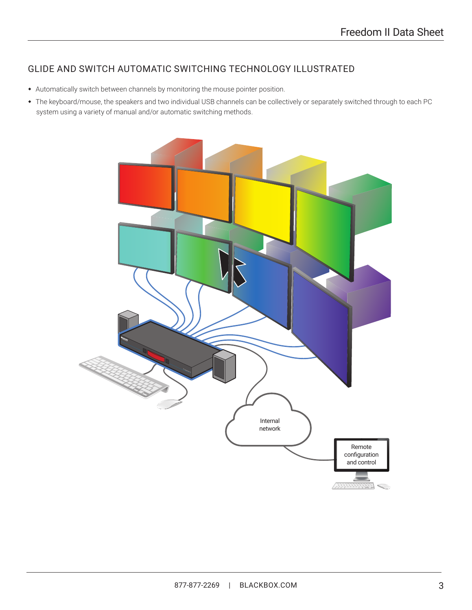## GLIDE AND SWITCH AUTOMATIC SWITCHING TECHNOLOGY ILLUSTRATED

- Automatically switch between channels by monitoring the mouse pointer position.
- The keyboard/mouse, the speakers and two individual USB channels can be collectively or separately switched through to each PC system using a variety of manual and/or automatic switching methods.